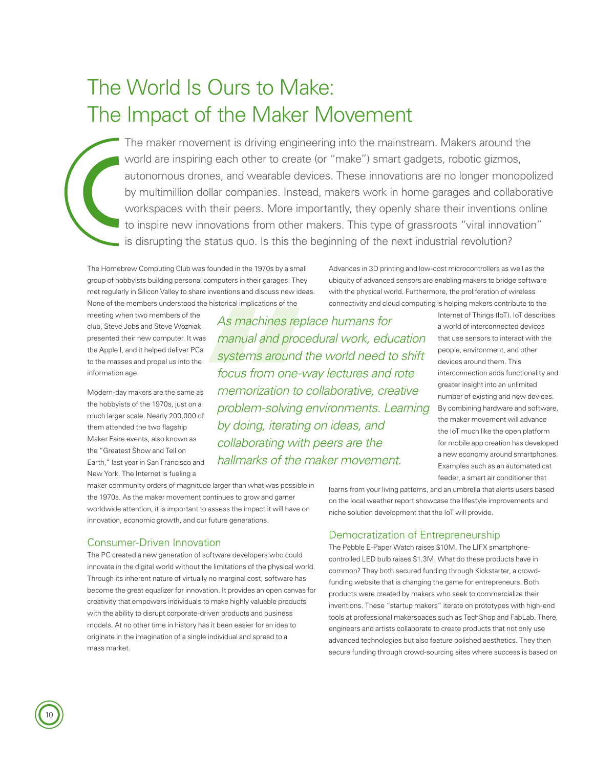# The World Is Ours to Make: The Impact of the Maker Movement

The maker movement is driving engineering into the mainstream. Makers around the world are inspiring each other to create (or "make") smart gadgets, robotic gizmos, autonomous drones, and wearable devices. These innovations are no longer monopolized by multimillion dollar companies. Instead, makers work in home garages and collaborative workspaces with their peers. More importantly, they openly share their inventions online to inspire new innovations from other makers. This type of grassroots "viral innovation" is disrupting the status quo. Is this the beginning of the next industrial revolution?

The Homebrew Computing Club was founded in the 1970s by a small group of hobbyists building personal computers in their garages. They met regularly in Silicon Valley to share inventions and discuss new ideas. None of the members understood the historical implications of the

meeting when two members of the club, Steve Jobs and Steve Wozniak, presented their new computer. It was the Apple I, and it helped deliver PCs to the masses and propel us into the information age.

Modern-day makers are the same as the hobbyists of the 1970s, just on a much larger scale. Nearly 200,000 of them attended the two flagship Maker Faire events, also known as the "Greatest Show and Tell on Earth," last year in San Francisco and New York. The Internet is fueling a

*As machines replace humans for manual and procedural work, education systems around the world need to shift focus from one-way lectures and rote memorization to collaborative, creative problem-solving environments. Learning by doing, iterating on ideas, and collaborating with peers are the hallmarks of the maker movement.*

Advances in 3D printing and low-cost microcontrollers as well as the ubiquity of advanced sensors are enabling makers to bridge software with the physical world. Furthermore, the proliferation of wireless connectivity and cloud computing is helping makers contribute to the

> Internet of Things (IoT). IoT describes a world of interconnected devices that use sensors to interact with the people, environment, and other devices around them. This interconnection adds functionality and greater insight into an unlimited number of existing and new devices. By combining hardware and software, the maker movement will advance the IoT much like the open platform for mobile app creation has developed a new economy around smartphones. Examples such as an automated cat feeder, a smart air conditioner that

maker community orders of magnitude larger than what was possible in the 1970s. As the maker movement continues to grow and garner worldwide attention, it is important to assess the impact it will have on innovation, economic growth, and our future generations.

## Consumer-Driven Innovation

The PC created a new generation of software developers who could innovate in the digital world without the limitations of the physical world. Through its inherent nature of virtually no marginal cost, software has become the great equalizer for innovation. It provides an open canvas for creativity that empowers individuals to make highly valuable products with the ability to disrupt corporate-driven products and business models. At no other time in history has it been easier for an idea to originate in the imagination of a single individual and spread to a mass market.

learns from your living patterns, and an umbrella that alerts users based on the local weather report showcase the lifestyle improvements and niche solution development that the IoT will provide.

#### Democratization of Entrepreneurship

The Pebble E-Paper Watch raises \$10M. The LIFX smartphonecontrolled LED bulb raises \$1.3M. What do these products have in common? They both secured funding through Kickstarter, a crowdfunding website that is changing the game for entrepreneurs. Both products were created by makers who seek to commercialize their inventions. These "startup makers" iterate on prototypes with high-end tools at professional makerspaces such as TechShop and FabLab. There, engineers and artists collaborate to create products that not only use advanced technologies but also feature polished aesthetics. They then secure funding through crowd-sourcing sites where success is based on

10